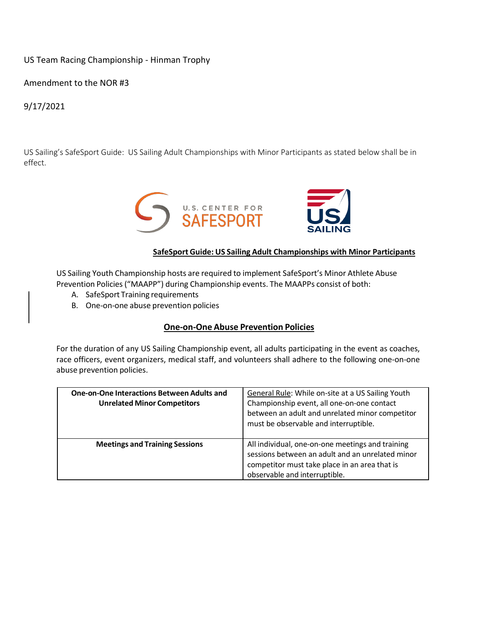## US Team Racing Championship - Hinman Trophy

Amendment to the NOR #3

9/17/2021

US Sailing's SafeSport Guide: US Sailing Adult Championships with Minor Participants as stated below shall be in effect.



## **SafeSport Guide: US Sailing Adult Championships with Minor Participants**

US Sailing Youth Championship hosts are required to implement SafeSport's Minor Athlete Abuse Prevention Policies("MAAPP") during Championship events. The MAAPPs consist of both:

- A. SafeSport Training requirements
- B. One-on-one abuse prevention policies

## **One-on-One Abuse Prevention Policies**

For the duration of any US Sailing Championship event, all adults participating in the event as coaches, race officers, event organizers, medical staff, and volunteers shall adhere to the following one-on-one abuse prevention policies.

| <b>One-on-One Interactions Between Adults and</b><br><b>Unrelated Minor Competitors</b> | General Rule: While on-site at a US Sailing Youth<br>Championship event, all one-on-one contact<br>between an adult and unrelated minor competitor<br>must be observable and interruptible. |
|-----------------------------------------------------------------------------------------|---------------------------------------------------------------------------------------------------------------------------------------------------------------------------------------------|
| <b>Meetings and Training Sessions</b>                                                   | All individual, one-on-one meetings and training<br>sessions between an adult and an unrelated minor<br>competitor must take place in an area that is<br>observable and interruptible.      |